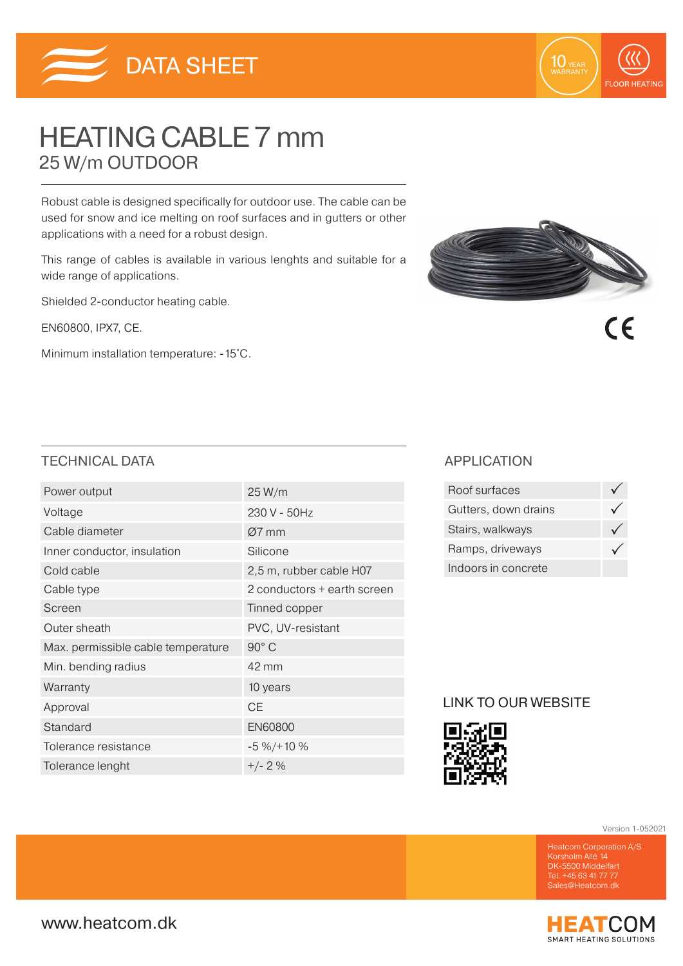



 $\epsilon$ 

# HEATING CABLE 7 mm 25 W/m OUTDOOR

Robust cable is designed specifically for outdoor use. The cable can be used for snow and ice melting on roof surfaces and in gutters or other applications with a need for a robust design.

This range of cables is available in various lenghts and suitable for a wide range of applications.

Shielded 2-conductor heating cable.

EN60800, IPX7, CE.

Minimum installation temperature: -15˚C.



## TECHNICAL DATA APPLICATION

| Power output                       | 25 W/m                      |
|------------------------------------|-----------------------------|
| Voltage                            | 230 V - 50Hz                |
| Cable diameter                     | Ø7 mm                       |
| Inner conductor, insulation        | Silicone                    |
| Cold cable                         | 2,5 m, rubber cable H07     |
| Cable type                         | 2 conductors + earth screen |
| Screen                             | Tinned copper               |
| Outer sheath                       | PVC, UV-resistant           |
| Max. permissible cable temperature | 90° C                       |
| Min. bending radius                | 42 mm                       |
| Warranty                           | 10 years                    |
| Approval                           | СE                          |
| Standard                           | <b>EN60800</b>              |
| Tolerance resistance               | $-5\% / + 10\%$             |
| Tolerance lenght                   | $+/- 2%$                    |

| Roof surfaces        |  |
|----------------------|--|
| Gutters, down drains |  |
| Stairs, walkways     |  |
| Ramps, driveways     |  |
| Indoors in concrete  |  |

## LINK TO OUR WEBSITE



Version 1-052021

Korsholm Allé 14 DK-5500 Middelfart Tel. +45 63 41 77 77